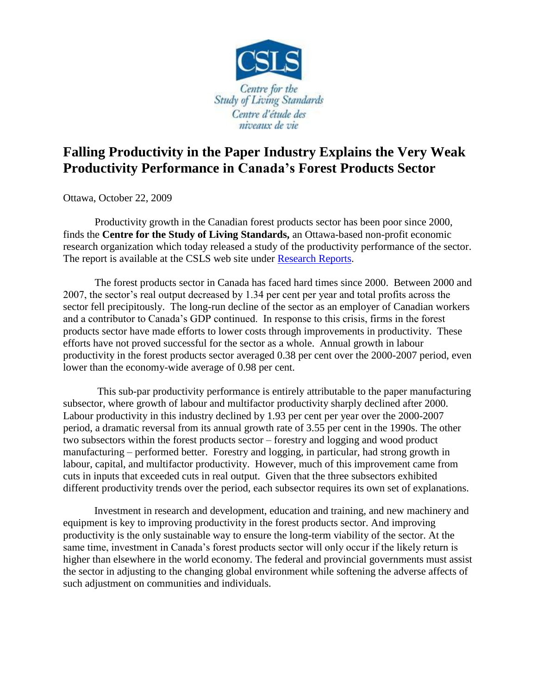

## **Falling Productivity in the Paper Industry Explains the Very Weak Productivity Performance in Canada's Forest Products Sector**

Ottawa, October 22, 2009

Productivity growth in the Canadian forest products sector has been poor since 2000, finds the **Centre for the Study of Living Standards,** an Ottawa-based non-profit economic research organization which today released a study of the productivity performance of the sector. The report is available at the CSLS web site under [Research Reports.](http://www.csls.ca/res_reports.asp)

The forest products sector in Canada has faced hard times since 2000. Between 2000 and 2007, the sector's real output decreased by 1.34 per cent per year and total profits across the sector fell precipitously. The long-run decline of the sector as an employer of Canadian workers and a contributor to Canada's GDP continued. In response to this crisis, firms in the forest products sector have made efforts to lower costs through improvements in productivity. These efforts have not proved successful for the sector as a whole. Annual growth in labour productivity in the forest products sector averaged 0.38 per cent over the 2000-2007 period, even lower than the economy-wide average of 0.98 per cent.

This sub-par productivity performance is entirely attributable to the paper manufacturing subsector, where growth of labour and multifactor productivity sharply declined after 2000. Labour productivity in this industry declined by 1.93 per cent per year over the 2000-2007 period, a dramatic reversal from its annual growth rate of 3.55 per cent in the 1990s. The other two subsectors within the forest products sector – forestry and logging and wood product manufacturing – performed better. Forestry and logging, in particular, had strong growth in labour, capital, and multifactor productivity. However, much of this improvement came from cuts in inputs that exceeded cuts in real output. Given that the three subsectors exhibited different productivity trends over the period, each subsector requires its own set of explanations.

Investment in research and development, education and training, and new machinery and equipment is key to improving productivity in the forest products sector. And improving productivity is the only sustainable way to ensure the long-term viability of the sector. At the same time, investment in Canada's forest products sector will only occur if the likely return is higher than elsewhere in the world economy. The federal and provincial governments must assist the sector in adjusting to the changing global environment while softening the adverse affects of such adjustment on communities and individuals.